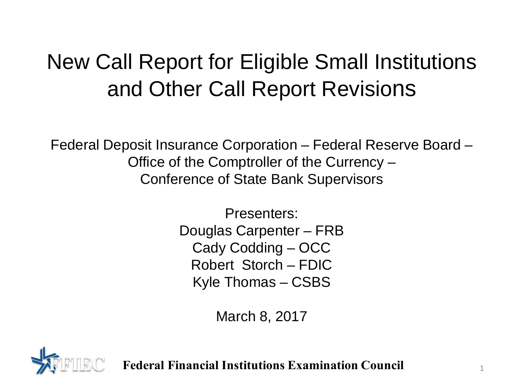## New Call Report for Eligible Small Institutions and Other Call Report Revisions

Federal Deposit Insurance Corporation – Federal Reserve Board – Office of the Comptroller of the Currency – Conference of State Bank Supervisors

> Presenters: Douglas Carpenter – FRB Cady Codding – OCC Robert Storch – FDIC Kyle Thomas – CSBS

> > March 8, 2017



**Federal Financial Institutions Examination Council** <sup>1</sup>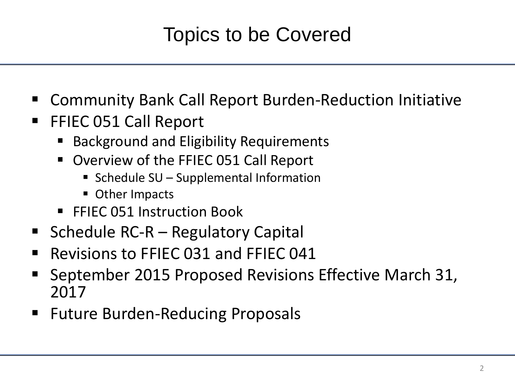#### Topics to be Covered

- Community Bank Call Report Burden-Reduction Initiative
- FFIEC 051 Call Report
	- Background and Eligibility Requirements
	- Overview of the FFIEC 051 Call Report
		- Schedule  $SU -$  Supplemental Information
		- **Other Impacts**
	- FFIEC 051 Instruction Book
- Schedule  $RC-R -$  Regulatory Capital
- Revisions to FFIEC 031 and FFIEC 041
- September 2015 Proposed Revisions Effective March 31, 2017
- **Future Burden-Reducing Proposals**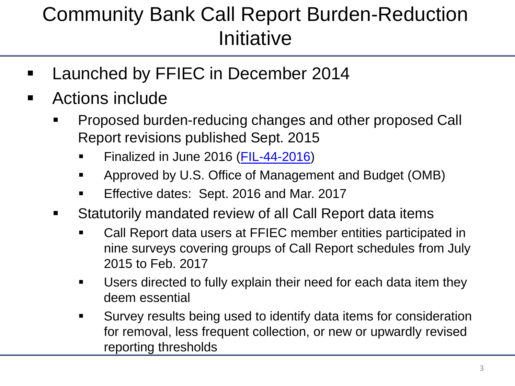### Community Bank Call Report Burden-Reduction **Initiative**

- Launched by FFIEC in December 2014
- Actions include
	- Proposed burden-reducing changes and other proposed Call Report revisions published Sept. 2015
		- Finalized in June 2016 [\(FIL-44-2016](https://www.fdic.gov/news/news/financial/2016/fil16044.html))
		- Approved by U.S. Office of Management and Budget (OMB)
		- **Effective dates: Sept. 2016 and Mar. 2017**
	- Statutorily mandated review of all Call Report data items
		- Call Report data users at FFIEC member entities participated in nine surveys covering groups of Call Report schedules from July 2015 to Feb. 2017
		- Users directed to fully explain their need for each data item they deem essential
		- Survey results being used to identify data items for consideration for removal, less frequent collection, or new or upwardly revised reporting thresholds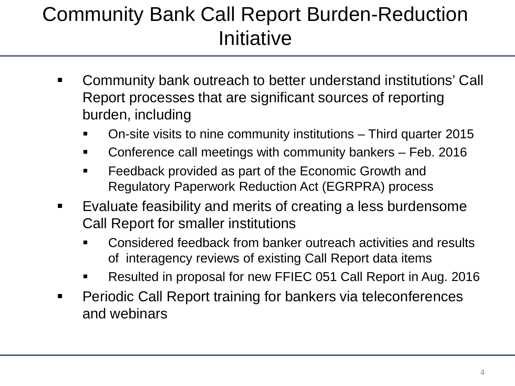### Community Bank Call Report Burden-Reduction Initiative

- Community bank outreach to better understand institutions' Call Report processes that are significant sources of reporting burden, including
	- On-site visits to nine community institutions Third quarter 2015
	- Conference call meetings with community bankers Feb. 2016
	- Feedback provided as part of the Economic Growth and Regulatory Paperwork Reduction Act (EGRPRA) process
- Evaluate feasibility and merits of creating a less burdensome Call Report for smaller institutions
	- Considered feedback from banker outreach activities and results of interagency reviews of existing Call Report data items
	- Resulted in proposal for new FFIEC 051 Call Report in Aug. 2016
- **Periodic Call Report training for bankers via teleconferences** and webinars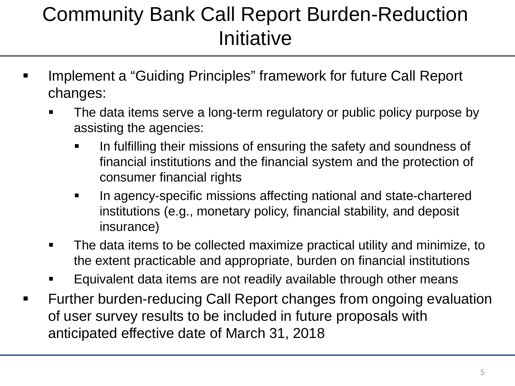#### Community Bank Call Report Burden-Reduction Initiative

- **IMPLEMENTER IT CALLET IS A THE VALUTE IN THE VALUTE IN A THE VALUTE IS A THE INCOCOLD FIGURAL ISLEY IN THE PROPET I** changes:
	- The data items serve a long-term regulatory or public policy purpose by assisting the agencies:
		- In fulfilling their missions of ensuring the safety and soundness of financial institutions and the financial system and the protection of consumer financial rights
		- In agency-specific missions affecting national and state-chartered institutions (e.g., monetary policy, financial stability, and deposit insurance)
	- The data items to be collected maximize practical utility and minimize, to the extent practicable and appropriate, burden on financial institutions
	- Equivalent data items are not readily available through other means
- Further burden-reducing Call Report changes from ongoing evaluation of user survey results to be included in future proposals with anticipated effective date of March 31, 2018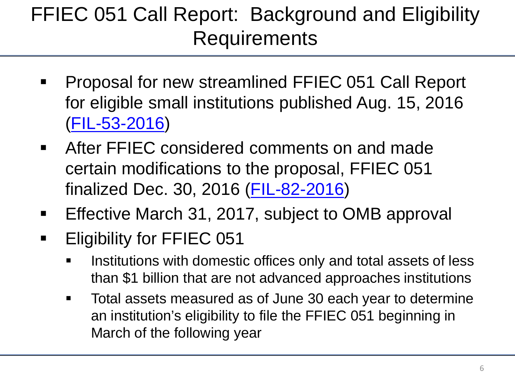### FFIEC 051 Call Report: Background and Eligibility **Requirements**

- **Proposal for new streamlined FFIEC 051 Call Report** for eligible small institutions published Aug. 15, 2016 [\(FIL-53-2016\)](https://www.fdic.gov/news/news/financial/2016/fil16053.html)
- **EXTEL After FFIEC considered comments on and made.** certain modifications to the proposal, FFIEC 051 finalized Dec. 30, 2016 [\(FIL-82-2016\)](https://www.fdic.gov/news/news/financial/2016/fil16082.html)
- **Effective March 31, 2017, subject to OMB approval**
- **Eligibility for FFIEC 051** 
	- Institutions with domestic offices only and total assets of less than \$1 billion that are not advanced approaches institutions
	- **Total assets measured as of June 30 each year to determine** an institution's eligibility to file the FFIEC 051 beginning in March of the following year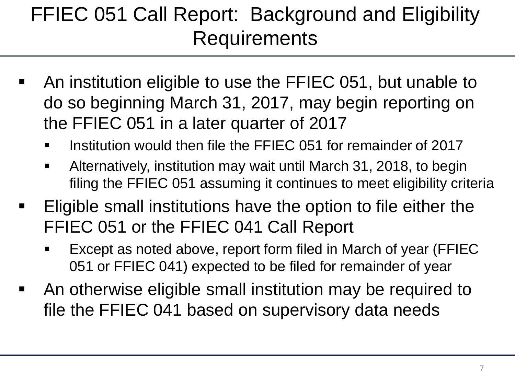### FFIEC 051 Call Report: Background and Eligibility **Requirements**

- An institution eligible to use the FFIEC 051, but unable to do so beginning March 31, 2017, may begin reporting on the FFIEC 051 in a later quarter of 2017
	- Institution would then file the FFIEC 051 for remainder of 2017
	- Alternatively, institution may wait until March 31, 2018, to begin filing the FFIEC 051 assuming it continues to meet eligibility criteria
- Eligible small institutions have the option to file either the FFIEC 051 or the FFIEC 041 Call Report
	- Except as noted above, report form filed in March of year (FFIEC 051 or FFIEC 041) expected to be filed for remainder of year
- An otherwise eligible small institution may be required to file the FFIEC 041 based on supervisory data needs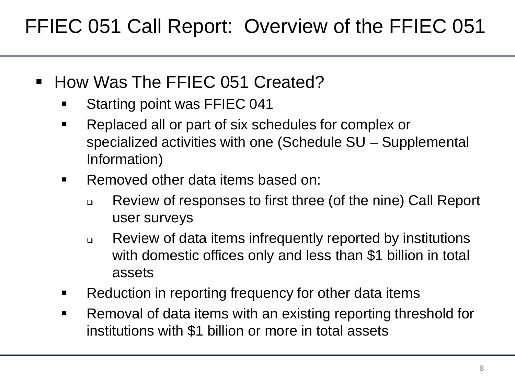FFIEC 051 Call Report: Overview of the FFIEC 051

- How Was The FFIEC 051 Created?
	- Starting point was FFIEC 041
	- Replaced all or part of six schedules for complex or specialized activities with one (Schedule SU – Supplemental Information)
	- **Removed other data items based on:** 
		- Review of responses to first three (of the nine) Call Report user surveys
		- Review of data items infrequently reported by institutions with domestic offices only and less than \$1 billion in total assets
	- Reduction in reporting frequency for other data items
	- Removal of data items with an existing reporting threshold for institutions with \$1 billion or more in total assets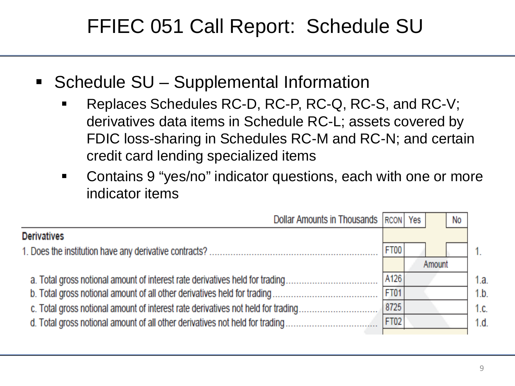#### FFIEC 051 Call Report: Schedule SU

- Schedule SU Supplemental Information
	- Replaces Schedules RC-D, RC-P, RC-Q, RC-S, and RC-V; derivatives data items in Schedule RC-L; assets covered by FDIC loss-sharing in Schedules RC-M and RC-N; and certain credit card lending specialized items
	- Contains 9 "yes/no" indicator questions, each with one or more indicator items

| Dollar Amounts in Thousands   RCON   Yes                                         |             | No     |      |
|----------------------------------------------------------------------------------|-------------|--------|------|
| <b>Derivatives</b>                                                               |             |        |      |
|                                                                                  | FT00        |        |      |
|                                                                                  |             | Amount |      |
| a. Total gross notional amount of interest rate derivatives held for trading     | A126        |        | 1.a. |
| b. Total gross notional amount of all other derivatives held for trading         | <b>FT01</b> |        | 1.b. |
| c. Total gross notional amount of interest rate derivatives not held for trading | 8725        |        | 1.c. |
| d. Total gross notional amount of all other derivatives not held for trading     | <b>FT02</b> |        | 1.d. |
|                                                                                  |             |        |      |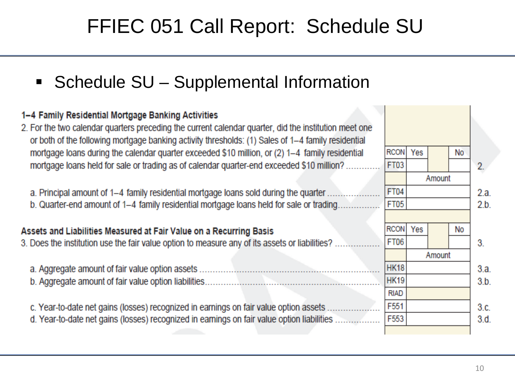#### FFIEC 051 Call Report: Schedule SU

■ Schedule SU – Supplemental Information

#### 1-4 Family Residential Mortgage Banking Activities 2. For the two calendar quarters preceding the current calendar quarter, did the institution meet one or both of the following mortgage banking activity thresholds: (1) Sales of 1-4 family residential **RCON** mortgage loans during the calendar guarter exceeded \$10 million, or (2) 1-4 family residential Yes **No** mortgage loans held for sale or trading as of calendar guarter-end exceeded \$10 million?....... **FT03**  $2.$ Amount **FT04** a. Principal amount of 1-4 family residential mortgage loans sold during the quarter .......  $2a$ FT05 b. Quarter-end amount of 1-4 family residential mortgage loans held for sale or trading................  $2<sub>b</sub>$ **RCON** Yes No Assets and Liabilities Measured at Fair Value on a Recurring Basis 3. Does the institution use the fair value option to measure any of its assets or liabilities? .. **FT06** 3. Amount HK18  $3.a.$ HK<sub>19</sub>  $3.b.$ **RIAD** F551 c. Year-to-date net gains (losses) recognized in earnings on fair value option assets .......................  $3.c.$ d. Year-to-date net gains (losses) recognized in earnings on fair value option liabilities ................... F553  $3.d.$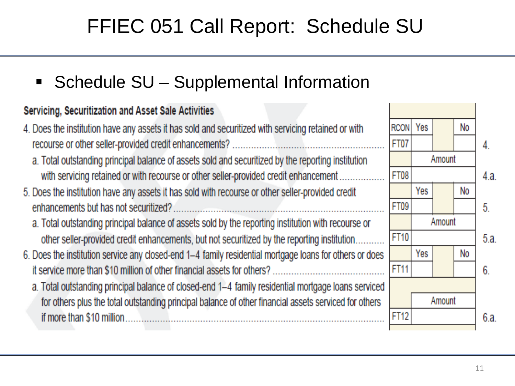No

No

No

Amount

Amount

Amount

4.

4а

5.

5 a

 $6.$ 

6.a.

#### FFIEC 051 Call Report: Schedule SU

■ Schedule SU – Supplemental Information

#### Servicing, Securitization and Asset Sale Activities

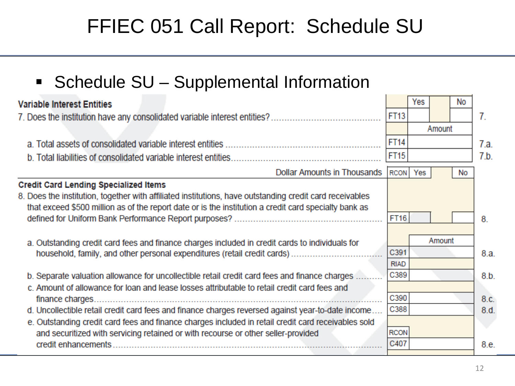#### FFIEC 051 Call Report: Schedule SU

**Schedule SU - Supplemental Information** 

| <b>Variable Interest Entities</b>                                                                        |             | Yes | No     |      |
|----------------------------------------------------------------------------------------------------------|-------------|-----|--------|------|
|                                                                                                          | <b>FT13</b> |     |        | 7.   |
|                                                                                                          |             |     | Amount |      |
|                                                                                                          | <b>FT14</b> |     |        | 7.a. |
|                                                                                                          | FT15        |     |        | 7.b. |
| <b>Dollar Amounts in Thousands</b>                                                                       | <b>RCON</b> | Yes | No     |      |
| <b>Credit Card Lending Specialized Items</b>                                                             |             |     |        |      |
| 8. Does the institution, together with affiliated institutions, have outstanding credit card receivables |             |     |        |      |
| that exceed \$500 million as of the report date or is the institution a credit card specialty bank as    |             |     |        |      |
|                                                                                                          | <b>FT16</b> |     |        | 8    |
|                                                                                                          |             |     |        |      |
| a. Outstanding credit card fees and finance charges included in credit cards to individuals for          |             |     | Amount |      |
|                                                                                                          | C391        |     |        | 8.a. |
|                                                                                                          | <b>RIAD</b> |     |        |      |
| b. Separate valuation allowance for uncollectible retail credit card fees and finance charges .          | C389        |     |        | 8.b. |
| c. Amount of allowance for loan and lease losses attributable to retail credit card fees and             |             |     |        |      |
| finance charges.                                                                                         | C390        |     |        | 8.c. |
| d. Uncollectible retail credit card fees and finance charges reversed against year-to-date income        | C388        |     |        | 8.d. |
| e. Outstanding credit card fees and finance charges included in retail credit card receivables sold      |             |     |        |      |
| and securitized with servicing retained or with recourse or other seller-provided                        | <b>RCON</b> |     |        |      |
|                                                                                                          | C407        |     |        | 8.e. |
|                                                                                                          |             |     |        |      |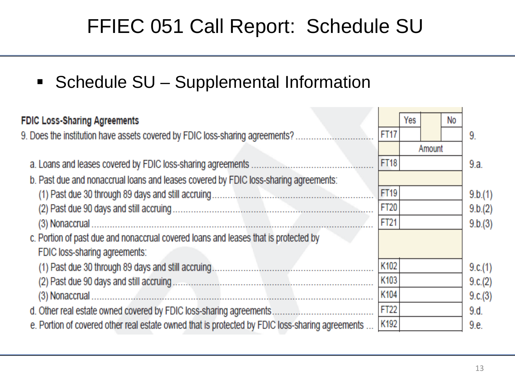#### FFIEC 051 Call Report: Schedule SU

**- Schedule SU - Supplemental Information** 

| <b>FDIC Loss-Sharing Agreements</b>                                                             |             | Yes |        | No |         |
|-------------------------------------------------------------------------------------------------|-------------|-----|--------|----|---------|
| 9. Does the institution have assets covered by FDIC loss-sharing agreements?                    | <b>FT17</b> |     |        |    | 9.      |
|                                                                                                 |             |     | Amount |    |         |
|                                                                                                 | <b>FT18</b> |     |        |    | 9.a.    |
| b. Past due and nonaccrual loans and leases covered by FDIC loss-sharing agreements:            |             |     |        |    |         |
|                                                                                                 | FT19        |     |        |    | 9.b.(1) |
|                                                                                                 | FT20        |     |        |    | 9.b.(2) |
|                                                                                                 | FT21        |     |        |    | 9.b.(3) |
| c. Portion of past due and nonaccrual covered loans and leases that is protected by             |             |     |        |    |         |
| FDIC loss-sharing agreements:                                                                   |             |     |        |    |         |
|                                                                                                 | K102        |     |        |    | 9.c.(1) |
|                                                                                                 | K103        |     |        |    | 9.c.(2) |
|                                                                                                 | K104        |     |        |    | 9.c.(3) |
| d. Other real estate owned covered by FDIC loss-sharing agreements                              | <b>FT22</b> |     |        |    | 9.d.    |
| e. Portion of covered other real estate owned that is protected by FDIC loss-sharing agreements | K192        |     |        |    | 9.e.    |
|                                                                                                 |             |     |        |    |         |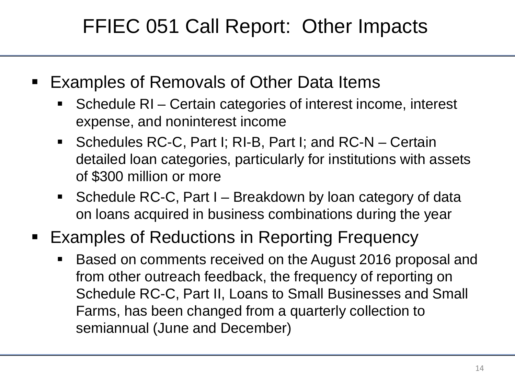#### FFIEC 051 Call Report: Other Impacts

- Examples of Removals of Other Data Items
	- Schedule RI Certain categories of interest income, interest expense, and noninterest income
	- Schedules RC-C, Part I; RI-B, Part I; and RC-N Certain detailed loan categories, particularly for institutions with assets of \$300 million or more
	- Schedule RC-C, Part I Breakdown by loan category of data on loans acquired in business combinations during the year
- **Examples of Reductions in Reporting Frequency** 
	- Based on comments received on the August 2016 proposal and from other outreach feedback, the frequency of reporting on Schedule RC-C, Part II, Loans to Small Businesses and Small Farms, has been changed from a quarterly collection to semiannual (June and December)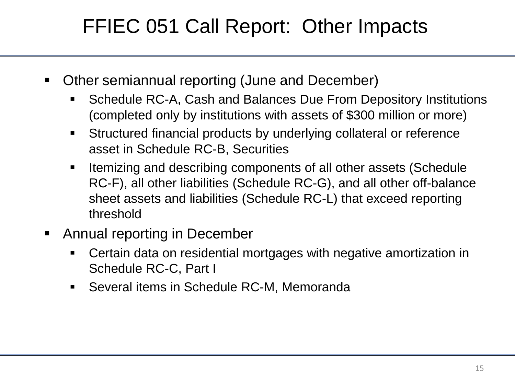#### FFIEC 051 Call Report: Other Impacts

- Other semiannual reporting (June and December)
	- Schedule RC-A, Cash and Balances Due From Depository Institutions (completed only by institutions with assets of \$300 million or more)
	- Structured financial products by underlying collateral or reference asset in Schedule RC-B, Securities
	- Itemizing and describing components of all other assets (Schedule RC-F), all other liabilities (Schedule RC-G), and all other off-balance sheet assets and liabilities (Schedule RC-L) that exceed reporting threshold
- Annual reporting in December
	- Certain data on residential mortgages with negative amortization in Schedule RC-C, Part I
	- Several items in Schedule RC-M, Memoranda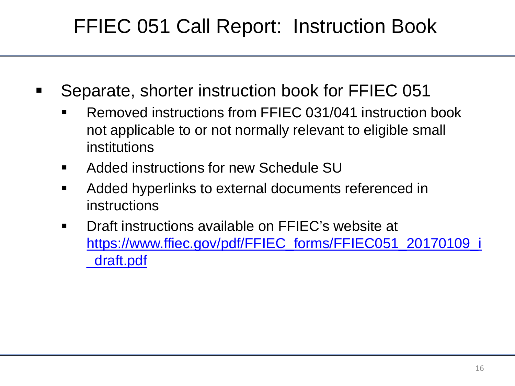#### FFIEC 051 Call Report: Instruction Book

- Separate, shorter instruction book for FFIEC 051
	- Removed instructions from FFIEC 031/041 instruction book not applicable to or not normally relevant to eligible small institutions
	- **EXECUTE:** Added instructions for new Schedule SU
	- **Added hyperlinks to external documents referenced in** instructions
	- Draft instructions available on FFIEC's website at [https://www.ffiec.gov/pdf/FFIEC\\_forms/FFIEC051\\_20170109\\_i](https://www.ffiec.gov/pdf/FFIEC_forms/FFIEC051_20170109_i_draft.pdf) [\\_draft.pdf](https://www.ffiec.gov/pdf/FFIEC_forms/FFIEC051_20170109_i_draft.pdf)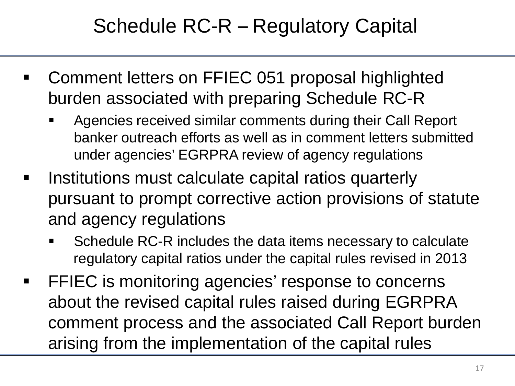#### Schedule RC-R – Regulatory Capital

- Comment letters on FFIEC 051 proposal highlighted burden associated with preparing Schedule RC-R
	- Agencies received similar comments during their Call Report banker outreach efforts as well as in comment letters submitted under agencies' EGRPRA review of agency regulations
- Institutions must calculate capital ratios quarterly pursuant to prompt corrective action provisions of statute and agency regulations
	- Schedule RC-R includes the data items necessary to calculate regulatory capital ratios under the capital rules revised in 2013
- **FIEC** is monitoring agencies' response to concerns about the revised capital rules raised during EGRPRA comment process and the associated Call Report burden arising from the implementation of the capital rules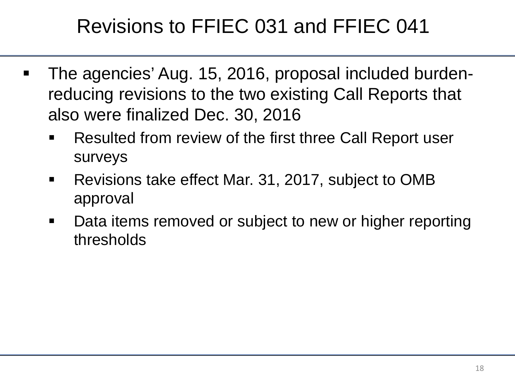#### Revisions to FFIEC 031 and FFIEC 041

- The agencies' Aug. 15, 2016, proposal included burdenreducing revisions to the two existing Call Reports that also were finalized Dec. 30, 2016
	- Resulted from review of the first three Call Report user surveys
	- **Revisions take effect Mar. 31, 2017, subject to OMB** approval
	- Data items removed or subject to new or higher reporting thresholds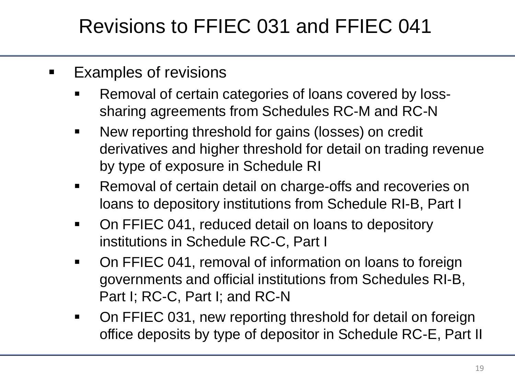#### Revisions to FFIEC 031 and FFIEC 041

- **Examples of revisions** 
	- Removal of certain categories of loans covered by losssharing agreements from Schedules RC-M and RC-N
	- New reporting threshold for gains (losses) on credit derivatives and higher threshold for detail on trading revenue by type of exposure in Schedule RI
	- **Removal of certain detail on charge-offs and recoveries on** loans to depository institutions from Schedule RI-B, Part I
	- On FFIEC 041, reduced detail on loans to depository institutions in Schedule RC-C, Part I
	- On FFIEC 041, removal of information on loans to foreign governments and official institutions from Schedules RI-B, Part I; RC-C, Part I; and RC-N
	- On FFIEC 031, new reporting threshold for detail on foreign office deposits by type of depositor in Schedule RC-E, Part II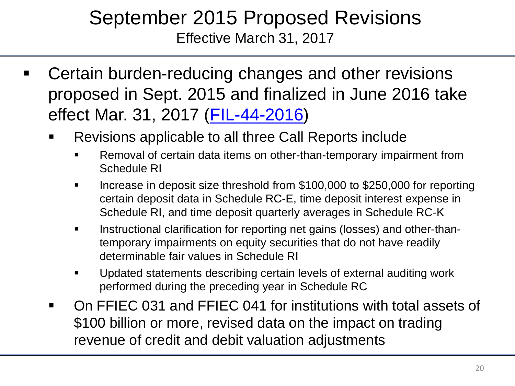#### September 2015 Proposed Revisions Effective March 31, 2017

- Certain burden-reducing changes and other revisions proposed in Sept. 2015 and finalized in June 2016 take effect Mar. 31, 2017 ([FIL-44-2016](https://www.fdic.gov/news/news/financial/2016/fil16044.html))
	- Revisions applicable to all three Call Reports include
		- Removal of certain data items on other-than-temporary impairment from Schedule RI
		- Increase in deposit size threshold from \$100,000 to \$250,000 for reporting certain deposit data in Schedule RC-E, time deposit interest expense in Schedule RI, and time deposit quarterly averages in Schedule RC-K
		- Instructional clarification for reporting net gains (losses) and other-thantemporary impairments on equity securities that do not have readily determinable fair values in Schedule RI
		- Updated statements describing certain levels of external auditing work performed during the preceding year in Schedule RC
	- On FFIEC 031 and FFIEC 041 for institutions with total assets of \$100 billion or more, revised data on the impact on trading revenue of credit and debit valuation adjustments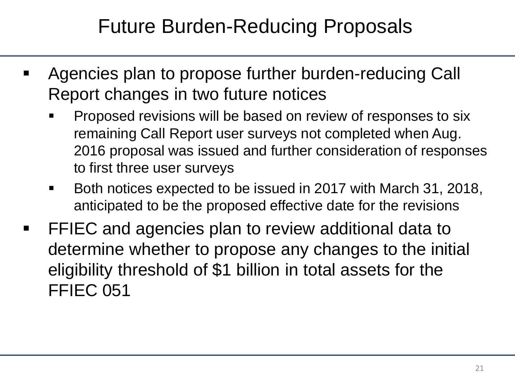#### Future Burden-Reducing Proposals

- Agencies plan to propose further burden-reducing Call Report changes in two future notices
	- Proposed revisions will be based on review of responses to six remaining Call Report user surveys not completed when Aug. 2016 proposal was issued and further consideration of responses to first three user surveys
	- Both notices expected to be issued in 2017 with March 31, 2018, anticipated to be the proposed effective date for the revisions
- FFIEC and agencies plan to review additional data to determine whether to propose any changes to the initial eligibility threshold of \$1 billion in total assets for the FFIEC 051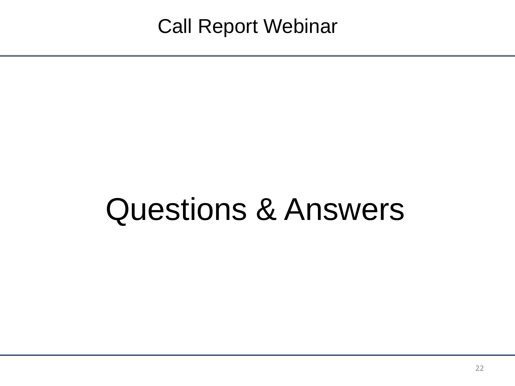# Questions & Answers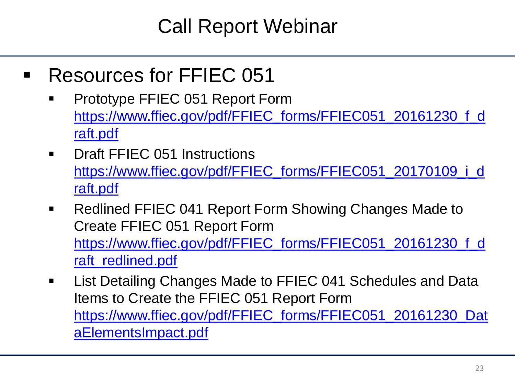#### Call Report Webinar

- Resources for FFIEC 051
	- Prototype FFIEC 051 Report Form [https://www.ffiec.gov/pdf/FFIEC\\_forms/FFIEC051\\_20161230\\_f\\_d](https://www.ffiec.gov/pdf/FFIEC_forms/FFIEC051_20161230_f_draft.pdf) [raft.pdf](https://www.ffiec.gov/pdf/FFIEC_forms/FFIEC051_20161230_f_draft.pdf)
	- **Draft FFIEC 051 Instructions** [https://www.ffiec.gov/pdf/FFIEC\\_forms/FFIEC051\\_20170109\\_i\\_d](https://www.ffiec.gov/pdf/FFIEC_forms/FFIEC051_20170109_i_draft.pdf) [raft.pdf](https://www.ffiec.gov/pdf/FFIEC_forms/FFIEC051_20170109_i_draft.pdf)
	- Redlined FFIEC 041 Report Form Showing Changes Made to Create FFIEC 051 Report Form [https://www.ffiec.gov/pdf/FFIEC\\_forms/FFIEC051\\_20161230\\_f\\_d](https://www.ffiec.gov/pdf/FFIEC_forms/FFIEC051_20161230_f_draft_redlined.pdf) [raft\\_redlined.pdf](https://www.ffiec.gov/pdf/FFIEC_forms/FFIEC051_20161230_f_draft_redlined.pdf)
	- **EXECT List Detailing Changes Made to FFIEC 041 Schedules and Data** Items to Create the FFIEC 051 Report Form [https://www.ffiec.gov/pdf/FFIEC\\_forms/FFIEC051\\_20161230\\_Dat](https://www.ffiec.gov/pdf/FFIEC_forms/FFIEC051_20161230_DataElementsImpact.pdf) [aElementsImpact.pdf](https://www.ffiec.gov/pdf/FFIEC_forms/FFIEC051_20161230_DataElementsImpact.pdf)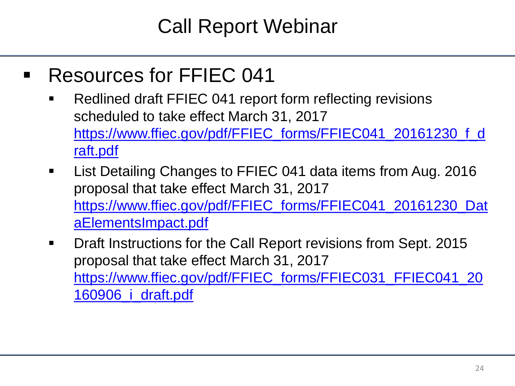#### Call Report Webinar

- Resources for FFIEC 041
	- **Redlined draft FFIEC 041 report form reflecting revisions** scheduled to take effect March 31, 2017 [https://www.ffiec.gov/pdf/FFIEC\\_forms/FFIEC041\\_20161230\\_f\\_d](https://www.ffiec.gov/pdf/FFIEC_forms/FFIEC041_20161230_f_draft.pdf) [raft.pdf](https://www.ffiec.gov/pdf/FFIEC_forms/FFIEC041_20161230_f_draft.pdf)
	- **List Detailing Changes to FFIEC 041 data items from Aug. 2016** proposal that take effect March 31, 2017 [https://www.ffiec.gov/pdf/FFIEC\\_forms/FFIEC041\\_20161230\\_Dat](https://www.ffiec.gov/pdf/FFIEC_forms/FFIEC041_20161230_DataElementsImpact.pdf) [aElementsImpact.pdf](https://www.ffiec.gov/pdf/FFIEC_forms/FFIEC041_20161230_DataElementsImpact.pdf)
	- **Draft Instructions for the Call Report revisions from Sept. 2015** proposal that take effect March 31, 2017 [https://www.ffiec.gov/pdf/FFIEC\\_forms/FFIEC031\\_FFIEC041\\_20](https://www.ffiec.gov/pdf/FFIEC_forms/FFIEC031_FFIEC041_20160906_i_draft.pdf) [160906\\_i\\_draft.pdf](https://www.ffiec.gov/pdf/FFIEC_forms/FFIEC031_FFIEC041_20160906_i_draft.pdf)